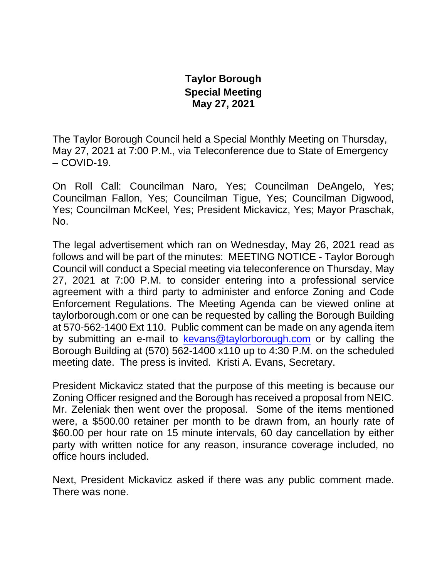## **Taylor Borough Special Meeting May 27, 2021**

The Taylor Borough Council held a Special Monthly Meeting on Thursday, May 27, 2021 at 7:00 P.M., via Teleconference due to State of Emergency  $-COVID-19.$ 

On Roll Call: Councilman Naro, Yes; Councilman DeAngelo, Yes; Councilman Fallon, Yes; Councilman Tigue, Yes; Councilman Digwood, Yes; Councilman McKeel, Yes; President Mickavicz, Yes; Mayor Praschak, No.

The legal advertisement which ran on Wednesday, May 26, 2021 read as follows and will be part of the minutes: MEETING NOTICE - Taylor Borough Council will conduct a Special meeting via teleconference on Thursday, May 27, 2021 at 7:00 P.M. to consider entering into a professional service agreement with a third party to administer and enforce Zoning and Code Enforcement Regulations. The Meeting Agenda can be viewed online at taylorborough.com or one can be requested by calling the Borough Building at 570-562-1400 Ext 110. Public comment can be made on any agenda item by submitting an e-mail to [kevans@taylorborough.com](mailto:kevans@taylorborough.com) or by calling the Borough Building at (570) 562-1400 x110 up to 4:30 P.M. on the scheduled meeting date. The press is invited. Kristi A. Evans, Secretary.

President Mickavicz stated that the purpose of this meeting is because our Zoning Officer resigned and the Borough has received a proposal from NEIC. Mr. Zeleniak then went over the proposal. Some of the items mentioned were, a \$500.00 retainer per month to be drawn from, an hourly rate of \$60.00 per hour rate on 15 minute intervals, 60 day cancellation by either party with written notice for any reason, insurance coverage included, no office hours included.

Next, President Mickavicz asked if there was any public comment made. There was none.